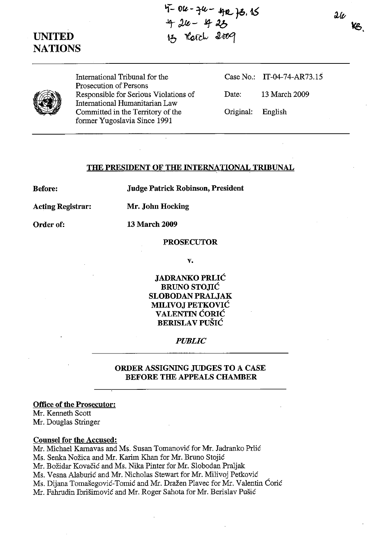# **UNITED NATIONS**

**'f- OfL, - -1't'- ./IttL }6. 16**  *1- J.,{f,* **- .tq- Jb 13** *Le* **- 420**<br>13 *Cerch* 2009

 $2\ell$ **Y<sub>B</sub>** 



International Tribunal for the Prosecution of Persons Responsible for Serious Violations of International Humanitarian Law Committed in the Territory of the former Yugoslavia Since 1991

|                   | Case No.: IT-04-74-AR73.15 |
|-------------------|----------------------------|
| Date:             | 13 March 2009              |
| Original: English |                            |

## **THE PRESIDENT OF THE INTERNATIONAL TRIBUNAL**

**Before:** 

**Judge Patrick Robinson, President** 

**Acting Registrar: Mr. John Hocking** 

**Order of: 13 March 2009** 

**PROSECUTOR** 

**v.** 

**JADRANKO PRLIC BRUNO STOJIĆ SLOBODAN PRALJAK MILIVOJ PETKOVIC VALENTIN CORIC BERISLA V PUSIC** 

#### *PUBLIC*

## **ORDER ASSIGNING JUDGES TO A CASE**  BEFORE THE APPEALS CHAMBER

# **Office of the Prosecutor:**

Mr. Kenneth Scott Mr. Douglas Stringer

### **Counsel for the Accused:**

Mr. Michael Karnavas and Ms. Susan Tomanovic for Mr. Jadranko Prlic Ms. Senka Nožica and Mr. Karim Khan for Mr. Bruno Stojić Mr. Bozidar Kovacic and Ms. Nika Pinter for Mr. Slobodan Praljak Ms. Vesna Alaburic and Mr. Nicholas Stewart for Mr. Milivoj Petkovic Ms. Dijana Tomašegović-Tomić and Mr. Dražen Plavec for Mr. Valentin Ćorić Mr. Fahrudin Ibrisimovic and Mr. Roger Sahota for Mr. Berislav Pusic